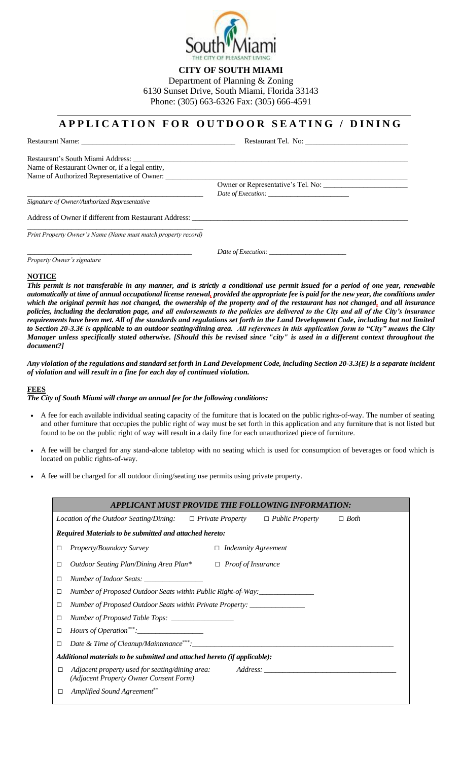

**CITY OF SOUTH MIAMI**

Department of Planning & Zoning 6130 Sunset Drive, South Miami, Florida 33143 Phone: (305) 663-6326 Fax: (305) 666-4591

## **A P P L I C A T I O N F O R O U T D O O R S E A T I N G / D I N I N G**

Restaurant Name: \_\_\_\_\_\_\_\_\_\_\_\_\_\_\_\_\_\_\_\_\_\_\_\_\_\_\_\_\_\_\_\_\_\_\_\_\_\_\_\_\_\_ Restaurant Tel. No: \_\_\_\_\_\_\_\_\_\_\_\_\_\_\_\_\_\_\_\_\_\_\_\_\_\_\_\_

Restaurant's South Miami Address: \_\_\_\_\_\_\_\_\_\_\_\_\_\_\_\_\_\_\_\_\_\_\_\_\_\_\_\_\_\_\_\_\_\_\_\_\_\_\_\_\_\_\_\_\_\_\_\_\_\_\_\_\_\_\_\_\_\_\_\_\_\_\_\_\_\_\_\_\_\_\_\_\_\_\_ Name of Restaurant Owner or, if a legal entity, Name of Authorized Representative of Owner:

Owner or Representative's Tel. No: Date of Execution:

*Signature of Owner/Authorized Representative*

Address of Owner if different from Restaurant Address: \_ \_\_\_\_\_\_\_\_\_\_\_\_\_\_\_\_\_\_\_\_\_\_\_\_\_\_\_\_\_\_\_\_\_\_\_\_\_\_\_\_\_\_\_\_\_\_\_\_

*Print Property Owner's Name (Name must match property record)*

Date of Execution:

*Property Owner's signature*

#### **NOTICE**

*This permit is not transferable in any manner, and is strictly a conditional use permit issued for a period of one year, renewable automatically at time of annual occupational license renewal, provided the appropriate fee is paid for the new year, the conditions under which the original permit has not changed, the ownership of the property and of the restaurant has not changed, and all insurance policies, including the declaration page, and all endorsements to the policies are delivered to the City and all of the City's insurance requirements have been met. All of the standards and regulations set forth in the Land Development Code, including but not limited to Section 20-3.3€ is applicable to an outdoor seating/dining area. All references in this application form to "City" means the City Manager unless specifically stated otherwise. [Should this be revised since "city" is used in a different context throughout the document?]*

*Any violation of the regulations and standard set forth in Land Development Code, including Section 20-3.3(E) is a separate incident of violation and will result in a fine for each day of continued violation.*

## **FEES**

#### *The City of South Miami will charge an annual fee for the following conditions:*

- A fee for each available individual seating capacity of the furniture that is located on the public rights-of-way. The number of seating and other furniture that occupies the public right of way must be set forth in this application and any furniture that is not listed but found to be on the public right of way will result in a daily fine for each unauthorized piece of furniture.
- A fee will be charged for any stand-alone tabletop with no seating which is used for consumption of beverages or food which is located on public rights-of-way.
- A fee will be charged for all outdoor dining/seating use permits using private property.

| APPLICANT MUST PROVIDE THE FOLLOWING INFORMATION:                         |                                                                                                                            |  |  |  |
|---------------------------------------------------------------------------|----------------------------------------------------------------------------------------------------------------------------|--|--|--|
|                                                                           | <i>Location of the Outdoor Seating/Dining:</i> $\Box$ <i>Private Property</i> $\Box$ <i>Public Property</i><br>$\Box$ Both |  |  |  |
|                                                                           | Required Materials to be submitted and attached hereto:                                                                    |  |  |  |
| □                                                                         | <b>Property/Boundary Survey</b><br><b>Indemnity Agreement</b><br>$\Box$                                                    |  |  |  |
| □                                                                         | Outdoor Seating Plan/Dining Area Plan*<br>$\Box$ Proof of Insurance                                                        |  |  |  |
| □                                                                         |                                                                                                                            |  |  |  |
| □                                                                         | Number of Proposed Outdoor Seats within Public Right-of-Way:                                                               |  |  |  |
| □                                                                         | Number of Proposed Outdoor Seats within Private Property: _______________                                                  |  |  |  |
| □                                                                         |                                                                                                                            |  |  |  |
| $\Box$                                                                    |                                                                                                                            |  |  |  |
| □                                                                         |                                                                                                                            |  |  |  |
| Additional materials to be submitted and attached hereto (if applicable): |                                                                                                                            |  |  |  |
| □                                                                         | Adjacent property used for seating/dining area:<br>(Adjacent Property Owner Consent Form)                                  |  |  |  |
| □                                                                         | Amplified Sound Agreement**                                                                                                |  |  |  |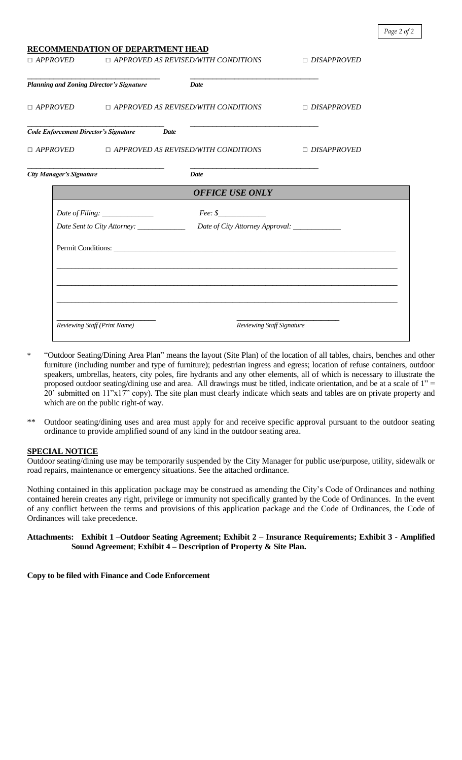|                                                            | <u>RECOMMENDATION OF DEPARTMENT HEAD</u>   |                                                                                                                      |                    |  |
|------------------------------------------------------------|--------------------------------------------|----------------------------------------------------------------------------------------------------------------------|--------------------|--|
| $\Box$ APPROVED $\Box$ APPROVED AS REVISED/WITH CONDITIONS |                                            |                                                                                                                      | $\Box$ DISAPPROVED |  |
| <b>Planning and Zoning Director's Signature</b>            |                                            | <i>Date</i>                                                                                                          |                    |  |
|                                                            |                                            | $\Box$ APPROVED $\Box$ APPROVED AS REVISED/WITH CONDITIONS                                                           | $\Box$ DISAPPROVED |  |
|                                                            | Code Enforcement Director's Signature Date |                                                                                                                      |                    |  |
|                                                            |                                            | □ APPROVED △ □ APPROVED AS REVISED/WITH CONDITIONS △ □ DISAPPROVED                                                   |                    |  |
| <b>City Manager's Signature</b>                            |                                            | <b>Date</b>                                                                                                          |                    |  |
|                                                            |                                            | <b>OFFICE USE ONLY</b>                                                                                               |                    |  |
|                                                            |                                            |                                                                                                                      |                    |  |
|                                                            |                                            |                                                                                                                      |                    |  |
|                                                            |                                            |                                                                                                                      |                    |  |
|                                                            |                                            | <u> 1989 - Andrea Santa Andrea Andrea Andrea Andrea Andrea Andrea Andrea Andrea Andrea Andrea Andrea Andrea Andr</u> |                    |  |
|                                                            |                                            |                                                                                                                      |                    |  |
|                                                            |                                            |                                                                                                                      |                    |  |
|                                                            |                                            |                                                                                                                      |                    |  |
| Reviewing Staff (Print Name)                               |                                            | Reviewing Staff Signature                                                                                            |                    |  |

- \* "Outdoor Seating/Dining Area Plan" means the layout (Site Plan) of the location of all tables, chairs, benches and other furniture (including number and type of furniture); pedestrian ingress and egress; location of refuse containers, outdoor speakers, umbrellas, heaters, city poles, fire hydrants and any other elements, all of which is necessary to illustrate the proposed outdoor seating/dining use and area. All drawings must be titled, indicate orientation, and be at a scale of 1" = 20' submitted on 11"x17" copy). The site plan must clearly indicate which seats and tables are on private property and which are on the public right-of way.
- \*\* Outdoor seating/dining uses and area must apply for and receive specific approval pursuant to the outdoor seating ordinance to provide amplified sound of any kind in the outdoor seating area.

## **SPECIAL NOTICE**

Outdoor seating/dining use may be temporarily suspended by the City Manager for public use/purpose, utility, sidewalk or road repairs, maintenance or emergency situations. See the attached ordinance.

Nothing contained in this application package may be construed as amending the City's Code of Ordinances and nothing contained herein creates any right, privilege or immunity not specifically granted by the Code of Ordinances. In the event of any conflict between the terms and provisions of this application package and the Code of Ordinances, the Code of Ordinances will take precedence.

### **Attachments: Exhibit 1 –Outdoor Seating Agreement; Exhibit 2 – Insurance Requirements; Exhibit 3 - Amplified Sound Agreement**; **Exhibit 4 – Description of Property & Site Plan.**

**Copy to be filed with Finance and Code Enforcement**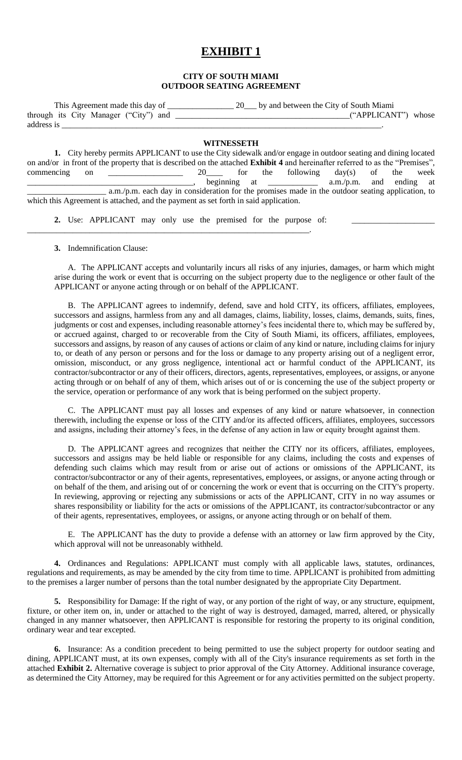## **EXHIBIT 1**

### **CITY OF SOUTH MIAMI OUTDOOR SEATING AGREEMENT**

| This Agreement made this day of       | by and between the City of South Miami |
|---------------------------------------|----------------------------------------|
| through its City Manager ("City") and | ("APPLICANT") whose                    |
| address is                            |                                        |

#### **WITNESSETH**

**1.** City hereby permits APPLICANT to use the City sidewalk and/or engage in outdoor seating and dining located on and/or in front of the property that is described on the attached **Exhibit 4** and hereinafter referred to as the "Premises", commencing on  $\frac{1}{\sqrt{2}}$  20 for the following day(s) of the week beginning at  $\qquad \qquad$  a.m./p.m. and ending at a.m./p.m. each day in consideration for the promises made in the outdoor seating application, to which this Agreement is attached, and the payment as set forth in said application.

**2.** Use: APPLICANT may only use the premised for the purpose of:

\_\_\_\_\_\_\_\_\_\_\_\_\_\_\_\_\_\_\_\_\_\_\_\_\_\_\_\_\_\_\_\_\_\_\_\_\_\_\_\_\_\_\_\_\_\_\_\_\_\_\_\_\_\_\_\_\_\_\_\_\_\_\_\_\_\_\_\_.

**3.** Indemnification Clause:

A. The APPLICANT accepts and voluntarily incurs all risks of any injuries, damages, or harm which might arise during the work or event that is occurring on the subject property due to the negligence or other fault of the APPLICANT or anyone acting through or on behalf of the APPLICANT.

B. The APPLICANT agrees to indemnify, defend, save and hold CITY, its officers, affiliates, employees, successors and assigns, harmless from any and all damages, claims, liability, losses, claims, demands, suits, fines, judgments or cost and expenses, including reasonable attorney's fees incidental there to, which may be suffered by, or accrued against, charged to or recoverable from the City of South Miami, its officers, affiliates, employees, successors and assigns, by reason of any causes of actions or claim of any kind or nature, including claims for injury to, or death of any person or persons and for the loss or damage to any property arising out of a negligent error, omission, misconduct, or any gross negligence, intentional act or harmful conduct of the APPLICANT, its contractor/subcontractor or any of their officers, directors, agents, representatives, employees, or assigns, or anyone acting through or on behalf of any of them, which arises out of or is concerning the use of the subject property or the service, operation or performance of any work that is being performed on the subject property.

C. The APPLICANT must pay all losses and expenses of any kind or nature whatsoever, in connection therewith, including the expense or loss of the CITY and/or its affected officers, affiliates, employees, successors and assigns, including their attorney's fees, in the defense of any action in law or equity brought against them.

D. The APPLICANT agrees and recognizes that neither the CITY nor its officers, affiliates, employees, successors and assigns may be held liable or responsible for any claims, including the costs and expenses of defending such claims which may result from or arise out of actions or omissions of the APPLICANT, its contractor/subcontractor or any of their agents, representatives, employees, or assigns, or anyone acting through or on behalf of the them, and arising out of or concerning the work or event that is occurring on the CITY's property. In reviewing, approving or rejecting any submissions or acts of the APPLICANT, CITY in no way assumes or shares responsibility or liability for the acts or omissions of the APPLICANT, its contractor/subcontractor or any of their agents, representatives, employees, or assigns, or anyone acting through or on behalf of them.

E. The APPLICANT has the duty to provide a defense with an attorney or law firm approved by the City, which approval will not be unreasonably withheld.

**4.** Ordinances and Regulations: APPLICANT must comply with all applicable laws, statutes, ordinances, regulations and requirements, as may be amended by the city from time to time. APPLICANT is prohibited from admitting to the premises a larger number of persons than the total number designated by the appropriate City Department.

**5.** Responsibility for Damage: If the right of way, or any portion of the right of way, or any structure, equipment, fixture, or other item on, in, under or attached to the right of way is destroyed, damaged, marred, altered, or physically changed in any manner whatsoever, then APPLICANT is responsible for restoring the property to its original condition, ordinary wear and tear excepted.

**6.** Insurance: As a condition precedent to being permitted to use the subject property for outdoor seating and dining, APPLICANT must, at its own expenses, comply with all of the City's insurance requirements as set forth in the attached **Exhibit 2.** Alternative coverage is subject to prior approval of the City Attorney. Additional insurance coverage, as determined the City Attorney, may be required for this Agreement or for any activities permitted on the subject property.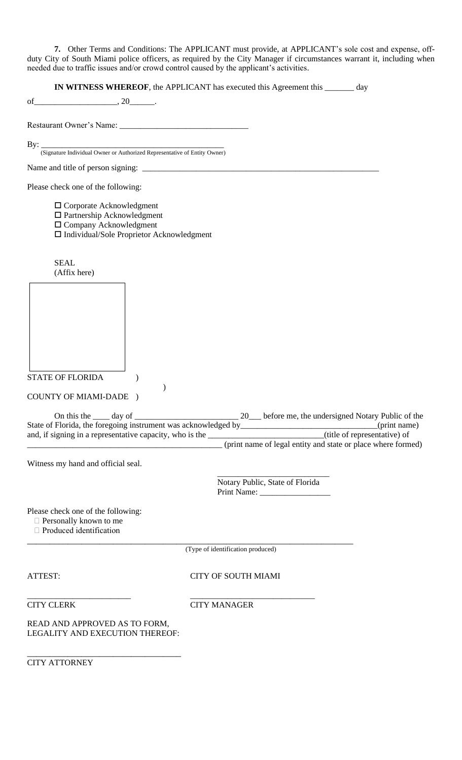**7.** Other Terms and Conditions: The APPLICANT must provide, at APPLICANT's sole cost and expense, offduty City of South Miami police officers, as required by the City Manager if circumstances warrant it, including when needed due to traffic issues and/or crowd control caused by the applicant's activities.

**IN WITNESS WHEREOF**, the APPLICANT has executed this Agreement this \_\_\_\_\_\_\_ day

of\_\_\_\_\_\_\_\_\_\_\_\_\_\_\_\_\_\_\_\_, 20\_\_\_\_\_\_.

Restaurant Owner's Name: \_\_\_\_\_\_\_\_\_\_\_\_\_\_\_\_\_\_\_\_\_\_\_\_\_\_\_\_\_\_\_

By: \_\_\_\_\_\_\_\_\_\_\_\_\_\_\_\_\_\_\_\_\_\_\_\_\_\_\_\_\_\_\_\_\_\_\_\_\_\_\_\_\_\_\_\_

(Signature Individual Owner or Authorized Representative of Entity Owner)

Name and title of person signing:  $\Box$ 

Please check one of the following:

Corporate Acknowledgment

- □ Partnership Acknowledgment
- □ Company Acknowledgment

Individual/Sole Proprietor Acknowledgment

)

SEAL (Affix here)

STATE OF FLORIDA (

COUNTY OF MIAMI-DADE )

| On this the<br>day of                                          | before me, the undersigned Notary Public of the              |
|----------------------------------------------------------------|--------------------------------------------------------------|
| State of Florida, the foregoing instrument was acknowledged by | (print name)                                                 |
| and, if signing in a representative capacity, who is the       | (title of representative) of                                 |
|                                                                | (print name of legal entity and state or place where formed) |

Witness my hand and official seal.

\_\_\_\_\_\_\_\_\_\_\_\_\_\_\_\_\_\_\_\_\_\_\_\_\_\_\_ Notary Public, State of Florida Print Name:

Please check one of the following:

Personally known to me

□ Produced identification

(Type of identification produced)

\_\_\_\_\_\_\_\_\_\_\_\_\_\_\_\_\_\_\_\_\_\_\_\_\_\_\_\_\_\_\_\_\_\_\_\_\_\_\_\_\_\_\_\_\_\_\_\_\_\_\_\_\_\_\_\_\_\_\_\_\_\_\_\_\_\_\_\_\_\_\_\_

ATTEST: CITY OF SOUTH MIAMI

\_\_\_\_\_\_\_\_\_\_\_\_\_\_\_\_\_\_\_\_\_\_\_\_\_ \_\_\_\_\_\_\_\_\_\_\_\_\_\_\_\_\_\_\_\_\_\_\_\_\_\_\_\_\_\_

CITY CLERK CITY MANAGER

READ AND APPROVED AS TO FORM, LEGALITY AND EXECUTION THEREOF:

\_\_\_\_\_\_\_\_\_\_\_\_\_\_\_\_\_\_\_\_\_\_\_\_\_\_\_\_\_\_\_\_\_\_

CITY ATTORNEY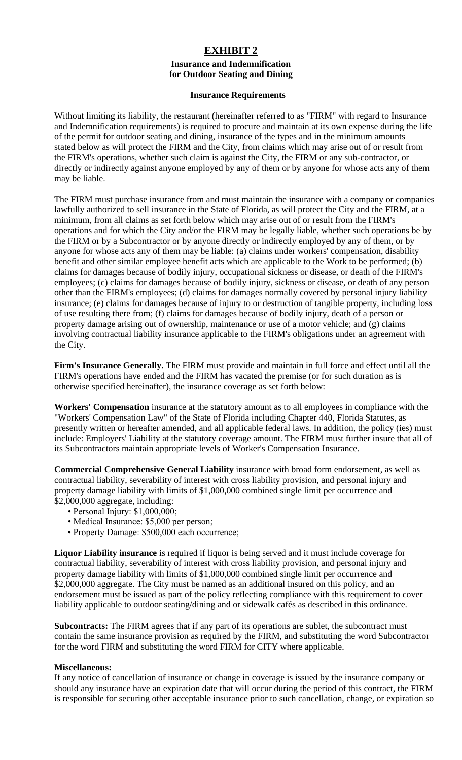## **EXHIBIT 2 Insurance and Indemnification for Outdoor Seating and Dining**

## **Insurance Requirements**

Without limiting its liability, the restaurant (hereinafter referred to as "FIRM" with regard to Insurance and Indemnification requirements) is required to procure and maintain at its own expense during the life of the permit for outdoor seating and dining, insurance of the types and in the minimum amounts stated below as will protect the FIRM and the City, from claims which may arise out of or result from the FIRM's operations, whether such claim is against the City, the FIRM or any sub-contractor, or directly or indirectly against anyone employed by any of them or by anyone for whose acts any of them may be liable.

The FIRM must purchase insurance from and must maintain the insurance with a company or companies lawfully authorized to sell insurance in the State of Florida, as will protect the City and the FIRM, at a minimum, from all claims as set forth below which may arise out of or result from the FIRM's operations and for which the City and/or the FIRM may be legally liable, whether such operations be by the FIRM or by a Subcontractor or by anyone directly or indirectly employed by any of them, or by anyone for whose acts any of them may be liable: (a) claims under workers' compensation, disability benefit and other similar employee benefit acts which are applicable to the Work to be performed; (b) claims for damages because of bodily injury, occupational sickness or disease, or death of the FIRM's employees; (c) claims for damages because of bodily injury, sickness or disease, or death of any person other than the FIRM's employees; (d) claims for damages normally covered by personal injury liability insurance; (e) claims for damages because of injury to or destruction of tangible property, including loss of use resulting there from; (f) claims for damages because of bodily injury, death of a person or property damage arising out of ownership, maintenance or use of a motor vehicle; and (g) claims involving contractual liability insurance applicable to the FIRM's obligations under an agreement with the City.

**Firm's Insurance Generally.** The FIRM must provide and maintain in full force and effect until all the FIRM's operations have ended and the FIRM has vacated the premise (or for such duration as is otherwise specified hereinafter), the insurance coverage as set forth below:

**Workers' Compensation** insurance at the statutory amount as to all employees in compliance with the "Workers' Compensation Law" of the State of Florida including Chapter 440, Florida Statutes, as presently written or hereafter amended, and all applicable federal laws. In addition, the policy (ies) must include: Employers' Liability at the statutory coverage amount. The FIRM must further insure that all of its Subcontractors maintain appropriate levels of Worker's Compensation Insurance.

**Commercial Comprehensive General Liability** insurance with broad form endorsement, as well as contractual liability, severability of interest with cross liability provision, and personal injury and property damage liability with limits of \$1,000,000 combined single limit per occurrence and \$2,000,000 aggregate, including:

- Personal Injury: \$1,000,000;
- Medical Insurance: \$5,000 per person;
- Property Damage: \$500,000 each occurrence;

**Liquor Liability insurance** is required if liquor is being served and it must include coverage for contractual liability, severability of interest with cross liability provision, and personal injury and property damage liability with limits of \$1,000,000 combined single limit per occurrence and \$2,000,000 aggregate. The City must be named as an additional insured on this policy, and an endorsement must be issued as part of the policy reflecting compliance with this requirement to cover liability applicable to outdoor seating/dining and or sidewalk cafés as described in this ordinance.

**Subcontracts:** The FIRM agrees that if any part of its operations are sublet, the subcontract must contain the same insurance provision as required by the FIRM, and substituting the word Subcontractor for the word FIRM and substituting the word FIRM for CITY where applicable.

## **Miscellaneous:**

If any notice of cancellation of insurance or change in coverage is issued by the insurance company or should any insurance have an expiration date that will occur during the period of this contract, the FIRM is responsible for securing other acceptable insurance prior to such cancellation, change, or expiration so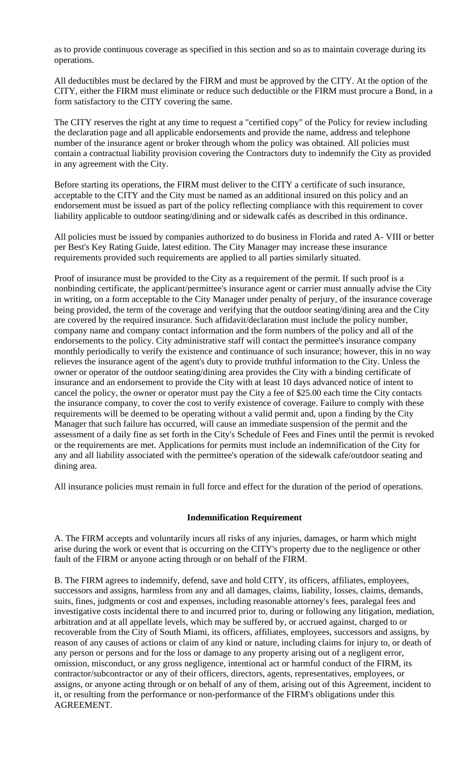as to provide continuous coverage as specified in this section and so as to maintain coverage during its operations.

All deductibles must be declared by the FIRM and must be approved by the CITY. At the option of the CITY, either the FIRM must eliminate or reduce such deductible or the FIRM must procure a Bond, in a form satisfactory to the CITY covering the same.

The CITY reserves the right at any time to request a "certified copy" of the Policy for review including the declaration page and all applicable endorsements and provide the name, address and telephone number of the insurance agent or broker through whom the policy was obtained. All policies must contain a contractual liability provision covering the Contractors duty to indemnify the City as provided in any agreement with the City.

Before starting its operations, the FIRM must deliver to the CITY a certificate of such insurance, acceptable to the CITY and the City must be named as an additional insured on this policy and an endorsement must be issued as part of the policy reflecting compliance with this requirement to cover liability applicable to outdoor seating/dining and or sidewalk cafés as described in this ordinance.

All policies must be issued by companies authorized to do business in Florida and rated A- VIII or better per Best's Key Rating Guide, latest edition. The City Manager may increase these insurance requirements provided such requirements are applied to all parties similarly situated.

Proof of insurance must be provided to the City as a requirement of the permit. If such proof is a nonbinding certificate, the applicant/permittee's insurance agent or carrier must annually advise the City in writing, on a form acceptable to the City Manager under penalty of perjury, of the insurance coverage being provided, the term of the coverage and verifying that the outdoor seating/dining area and the City are covered by the required insurance. Such affidavit/declaration must include the policy number, company name and company contact information and the form numbers of the policy and all of the endorsements to the policy. City administrative staff will contact the permittee's insurance company monthly periodically to verify the existence and continuance of such insurance; however, this in no way relieves the insurance agent of the agent's duty to provide truthful information to the City. Unless the owner or operator of the outdoor seating/dining area provides the City with a binding certificate of insurance and an endorsement to provide the City with at least 10 days advanced notice of intent to cancel the policy, the owner or operator must pay the City a fee of \$25.00 each time the City contacts the insurance company, to cover the cost to verify existence of coverage. Failure to comply with these requirements will be deemed to be operating without a valid permit and, upon a finding by the City Manager that such failure has occurred, will cause an immediate suspension of the permit and the assessment of a daily fine as set forth in the City's Schedule of Fees and Fines until the permit is revoked or the requirements are met. Applications for permits must include an indemnification of the City for any and all liability associated with the permittee's operation of the sidewalk cafe/outdoor seating and dining area.

All insurance policies must remain in full force and effect for the duration of the period of operations.

## **Indemnification Requirement**

A. The FIRM accepts and voluntarily incurs all risks of any injuries, damages, or harm which might arise during the work or event that is occurring on the CITY's property due to the negligence or other fault of the FIRM or anyone acting through or on behalf of the FIRM.

B. The FIRM agrees to indemnify, defend, save and hold CITY, its officers, affiliates, employees, successors and assigns, harmless from any and all damages, claims, liability, losses, claims, demands, suits, fines, judgments or cost and expenses, including reasonable attorney's fees, paralegal fees and investigative costs incidental there to and incurred prior to, during or following any litigation, mediation, arbitration and at all appellate levels, which may be suffered by, or accrued against, charged to or recoverable from the City of South Miami, its officers, affiliates, employees, successors and assigns, by reason of any causes of actions or claim of any kind or nature, including claims for injury to, or death of any person or persons and for the loss or damage to any property arising out of a negligent error, omission, misconduct, or any gross negligence, intentional act or harmful conduct of the FIRM, its contractor/subcontractor or any of their officers, directors, agents, representatives, employees, or assigns, or anyone acting through or on behalf of any of them, arising out of this Agreement, incident to it, or resulting from the performance or non-performance of the FIRM's obligations under this AGREEMENT.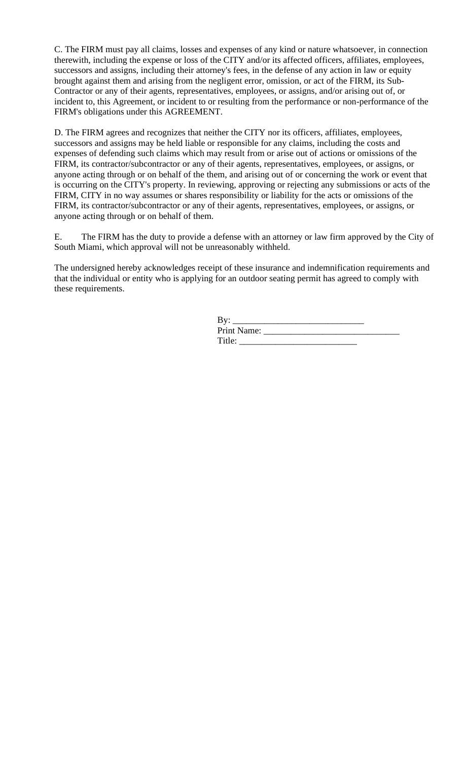C. The FIRM must pay all claims, losses and expenses of any kind or nature whatsoever, in connection therewith, including the expense or loss of the CITY and/or its affected officers, affiliates, employees, successors and assigns, including their attorney's fees, in the defense of any action in law or equity brought against them and arising from the negligent error, omission, or act of the FIRM, its Sub-Contractor or any of their agents, representatives, employees, or assigns, and/or arising out of, or incident to, this Agreement, or incident to or resulting from the performance or non-performance of the FIRM's obligations under this AGREEMENT.

D. The FIRM agrees and recognizes that neither the CITY nor its officers, affiliates, employees, successors and assigns may be held liable or responsible for any claims, including the costs and expenses of defending such claims which may result from or arise out of actions or omissions of the FIRM, its contractor/subcontractor or any of their agents, representatives, employees, or assigns, or anyone acting through or on behalf of the them, and arising out of or concerning the work or event that is occurring on the CITY's property. In reviewing, approving or rejecting any submissions or acts of the FIRM, CITY in no way assumes or shares responsibility or liability for the acts or omissions of the FIRM, its contractor/subcontractor or any of their agents, representatives, employees, or assigns, or anyone acting through or on behalf of them.

E. The FIRM has the duty to provide a defense with an attorney or law firm approved by the City of South Miami, which approval will not be unreasonably withheld.

The undersigned hereby acknowledges receipt of these insurance and indemnification requirements and that the individual or entity who is applying for an outdoor seating permit has agreed to comply with these requirements.

| By:         |  |
|-------------|--|
| Print Name: |  |
| Title:      |  |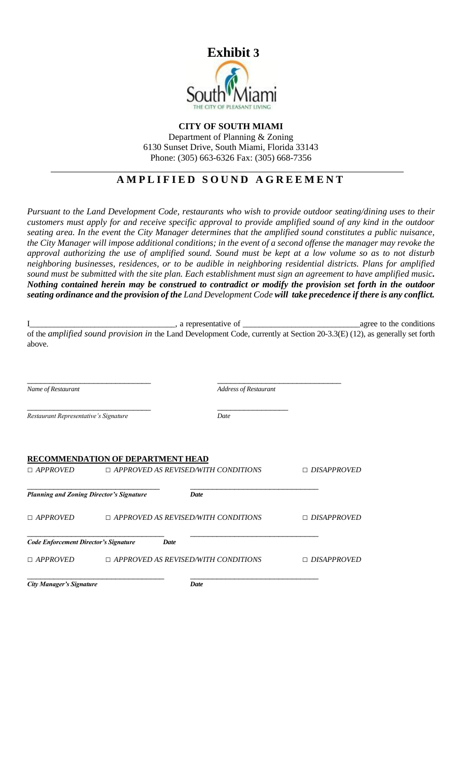

## **CITY OF SOUTH MIAMI** Department of Planning & Zoning 6130 Sunset Drive, South Miami, Florida 33143 Phone: (305) 663-6326 Fax: (305) 668-7356

## **A M P L I F I E D S O U N D A G R E E M E N T**

*Pursuant to the Land Development Code, restaurants who wish to provide outdoor seating/dining uses to their customers must apply for and receive specific approval to provide amplified sound of any kind in the outdoor seating area. In the event the City Manager determines that the amplified sound constitutes a public nuisance, the City Manager will impose additional conditions; in the event of a second offense the manager may revoke the approval authorizing the use of amplified sound. Sound must be kept at a low volume so as to not disturb neighboring businesses, residences, or to be audible in neighboring residential districts. Plans for amplified sound must be submitted with the site plan. Each establishment must sign an agreement to have amplified music. Nothing contained herein may be construed to contradict or modify the provision set forth in the outdoor seating ordinance and the provision of the Land Development Code will take precedence if there is any conflict.*

|                                                 | , a representative of                    | agree to the conditions                    |                                                                                                                            |
|-------------------------------------------------|------------------------------------------|--------------------------------------------|----------------------------------------------------------------------------------------------------------------------------|
| above.                                          |                                          |                                            | of the amplified sound provision in the Land Development Code, currently at Section 20-3.3(E) (12), as generally set forth |
| Name of Restaurant                              |                                          | <b>Address of Restaurant</b>               |                                                                                                                            |
| Restaurant Representative's Signature           |                                          | Date                                       |                                                                                                                            |
| $\Box$ APPROVED                                 | <b>RECOMMENDATION OF DEPARTMENT HEAD</b> | $\Box$ APPROVED AS REVISED/WITH CONDITIONS | $\Box$ DISAPPROVED                                                                                                         |
| <b>Planning and Zoning Director's Signature</b> |                                          | Date                                       |                                                                                                                            |
| $\Box$ APPROVED                                 |                                          | $\Box$ APPROVED AS REVISED/WITH CONDITIONS | $\Box$ DISAPPROVED                                                                                                         |
| <b>Code Enforcement Director's Signature</b>    | Date                                     |                                            |                                                                                                                            |
| $\Box$ APPROVED                                 |                                          | $\Box$ APPROVED AS REVISED/WITH CONDITIONS | $\Box$ DISAPPROVED                                                                                                         |
| <b>City Manager's Signature</b>                 |                                          | Date                                       |                                                                                                                            |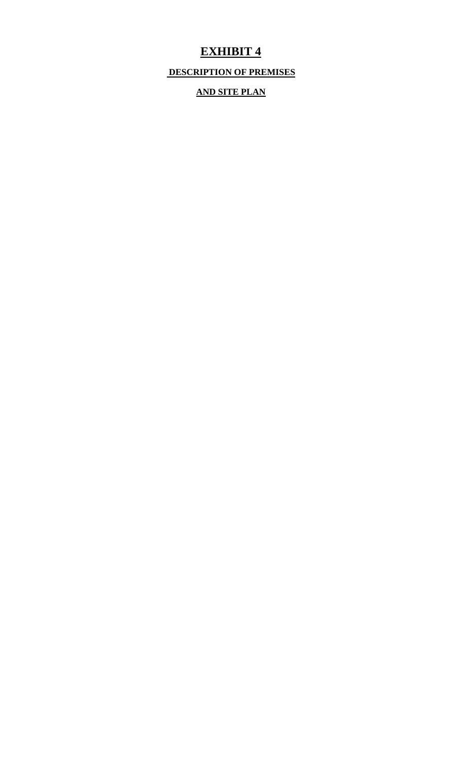# **EXHIBIT 4**

**DESCRIPTION OF PREMISES**

**AND SITE PLAN**